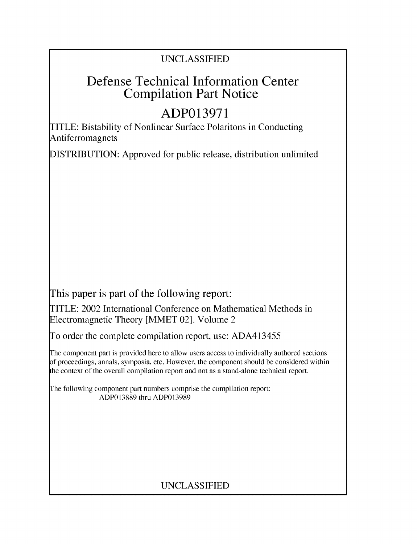### UNCLASSIFIED

## Defense Technical Information Center Compilation Part Notice

# **ADP013971**

TITLE: Bistability of Nonlinear Surface Polaritons in Conducting Antiferromagnets

DISTRIBUTION: Approved for public release, distribution unlimited

This paper is part of the following report:

TITLE: 2002 International Conference on Mathematical Methods in Electromagnetic Theory [MMET 02]. Volume 2

To order the complete compilation report, use: ADA413455

The component part is provided here to allow users access to individually authored sections f proceedings, annals, symposia, etc. However, the component should be considered within the context of the overall compilation report and not as a stand-alone technical report.

The following component part numbers comprise the compilation report: ADP013889 thru ADP013989

## UNCLASSIFIED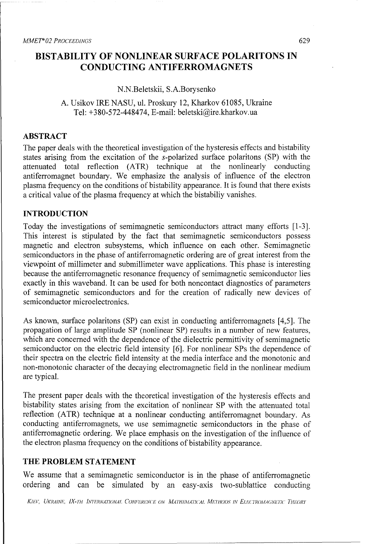### BISTABILITY OF **NONLINEAR SURFACE** POLARITONS **IN CONDUCTING ANTIFERROMAGNETS**

#### N.N.Beletskii, S.A.Borysenko

#### A. Usikov IRE NASU, ul. Proskury 12, Kharkov 61085, Ukraine Tel: +380-572-448474, E-mail: beletski@ire.kharkov.ua

#### ABSTRACT

The paper deals with the theoretical investigation of the hysteresis effects and bistability states arising from the excitation of the s-polarized surface polaritons (SP) with the attenuated total reflection (ATR) technique at the nonlinearly conducting antiferromagnet boundary. We emphasize the analysis of influence of the electron plasma frequency on the conditions of bistability appearance. It is found that there exists a critical value of the plasma frequency at which the bistabiliy vanishes.

#### **INTRODUCTION**

Today the investigations of semimagnetic semiconductors attract many efforts [1-3]. This interest is stipulated by the fact that semimagnetic semiconductors possess magnetic and electron subsystems, which influence on each other. Semimagnetic semiconductors in the phase of antiferromagnetic ordering are of great interest from the viewpoint of millimeter and submillimeter wave applications. This phase is interesting because the antiferromagnetic resonance frequency of semimagnetic semiconductor lies exactly in this waveband. It can be used for both noncontact diagnostics of parameters of semimagnetic semiconductors and for the creation of radically new devices of semiconductor microelectronics.

As known, surface polaritons (SP) can exist in conducting antiferromagnets [4,5]. The propagation of large amplitude SP (nonlinear SP) results in a number of new features, which are concerned with the dependence of the dielectric permittivity of semimagnetic semiconductor on the electric field intensity [6]. For nonlinear SPs the dependence of their spectra on the electric field intensity at the media interface and the monotonic and non-monotonic character of the decaying electromagnetic field in the nonlinear medium are typical.

The present paper deals with the theoretical investigation of the hysteresis effects and bistability states arising from the excitation of nonlinear SP with the attenuated total reflection (ATR) technique at a nonlinear conducting antiferromagnet boundary. As conducting antiferromagnets, we use semimagnetic semiconductors in the phase of antiferromagnetic ordering. We place emphasis on the investigation of the influence of the electron plasma frequency on the conditions of bistability appearance.

#### THE PROBLEM **STATEMENT**

We assume that a semimagnetic semiconductor is in the phase of antiferromagnetic ordering and can be simulated by an easy-axis two-sublattice conducting

KIEV, UKRAINE, IX-TH INTERNATIONAL CONFERENCE ON MATHEMATICAL METHODS IN ELECTROMAGNETIC THEORY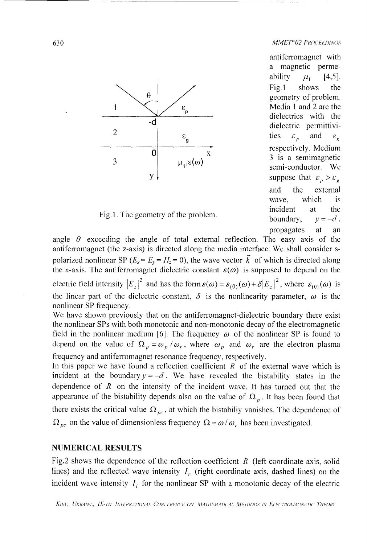#### 630 *MMET'\*02 PROCEED)INGS.*



Fig.1. The geometry of the problem. boundary,  $y = -d$ ,

antiferromagnet with a magnetic permeability  $\mu_1$  [4,5]. Fig.I shows the Media l and 2 are the respectively. Medium semi-conductor. We and the external wave, which is incident at the propagates at an

angle  $\theta$  exceeding the angle of total external reflection. The easy axis of the antiferromagnet (the z-axis) is directed along the media interface. We shall consider spolarized nonlinear SP  $(E_x = E_y = H_z = 0)$ , the wave vector  $\vec{k}$  of which is directed along the x-axis. The antiferromagnet dielectric constant  $\varepsilon(\omega)$  is supposed to depend on the electric field intensity  $|E_r|^2$  and has the form  $\varepsilon(\omega) = \varepsilon_{(0)}(\omega) + \delta |E_r|^2$ , where  $\varepsilon_{(0)}(\omega)$  is the linear part of the dielectric constant,  $\delta$  is the nonlinearity parameter,  $\omega$  is the nonlinear SP frequency.

We have shown previously that on the antiferromagnet-dielectric boundary there exist the nonlinear SPs with both monotonic and non-monotonic decay of the electromagnetic field in the nonlinear medium [6]. The frequency  $\omega$  of the nonlinear SP is found to depend on the value of  $\Omega_p = \omega_p / \omega_r$ , where  $\omega_p$  and  $\omega_r$  are the electron plasma frequency and antiferromagnet resonance frequency, respectively.

In this paper we have found a reflection coefficient  $R$  of the external wave which is incident at the boundary  $y = -d$ . We have revealed the bistability states in the dependence of *R* on the intensity of the incident wave. It has turned out that the appearance of the bistability depends also on the value of  $\Omega_p$ . It has been found that there exists the critical value  $\Omega_{pc}$ , at which the bistabiliy vanishes. The dependence of  $\Omega_{pc}$  on the value of dimensionless frequency  $\Omega = \omega / \omega_r$  has been investigated.

#### **NUMERICAL RESULTS**

Fig.2 shows the dependence of the reflection coefficient  $R$  (left coordinate axis, solid lines) and the reflected wave intensity  $I<sub>r</sub>$  (right coordinate axis, dashed lines) on the incident wave intensity  $I_i$  for the nonlinear SP with a monotonic decay of the electric